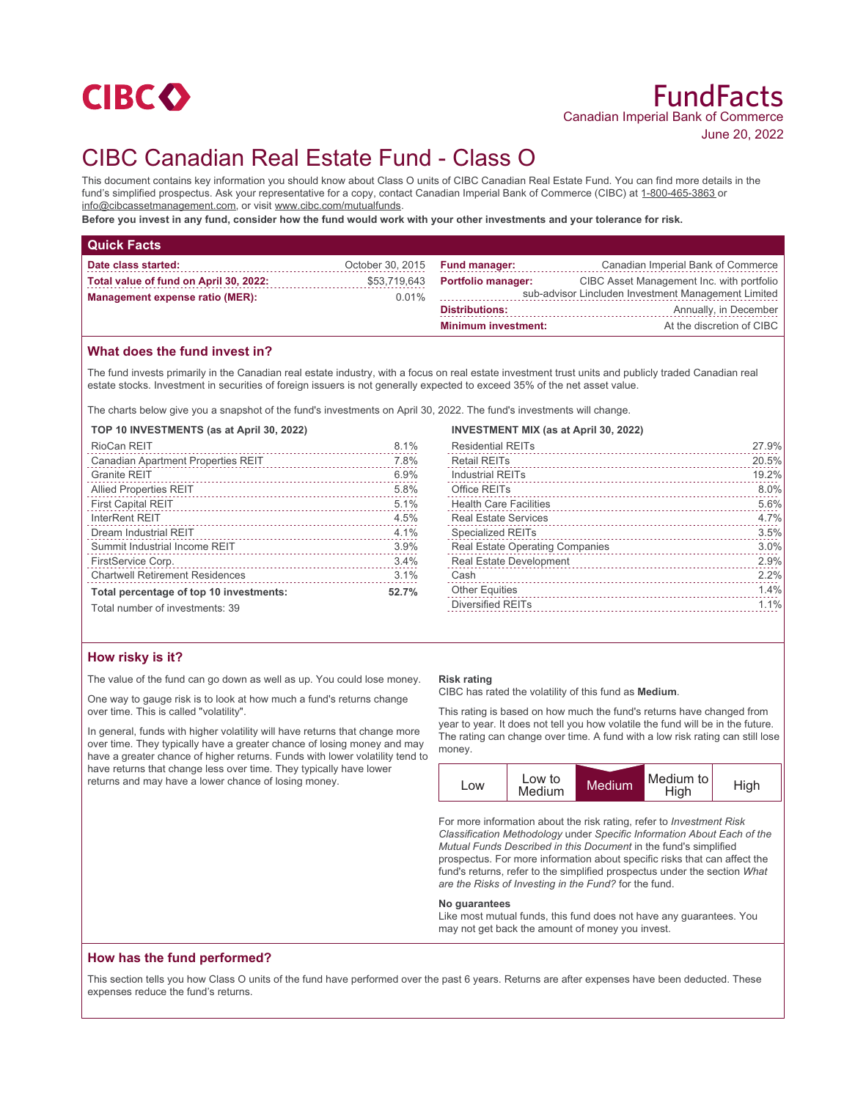

# CIBC Canadian Real Estate Fund - Class O

This document contains key information you should know about Class O units of CIBC Canadian Real Estate Fund. You can find more details in the fund's simplified prospectus. Ask your representative for a copy, contact Canadian Imperial Bank of Commerce (CIBC) at 1-800-465-3863 or info@cibcassetmanagement.com, or visit www.cibc.com/mutualfunds.

**Before you invest in any fund, consider how the fund would work with your other investments and your tolerance for risk.**

| <b>Quick Facts</b>                     |                  |                                                     |                                           |
|----------------------------------------|------------------|-----------------------------------------------------|-------------------------------------------|
| Date class started:                    | October 30, 2015 | <b>Fund manager:</b>                                | Canadian Imperial Bank of Commerce        |
| Total value of fund on April 30, 2022: | \$53,719,643     | <b>Portfolio manager:</b>                           | CIBC Asset Management Inc. with portfolio |
| <b>Management expense ratio (MER):</b> | 0.01%            | sub-advisor Lincluden Investment Management Limited |                                           |
|                                        |                  | <b>Distributions:</b>                               | Annually, in December                     |
|                                        |                  | <b>Minimum investment:</b>                          | At the discretion of CIBC                 |

# **What does the fund invest in?**

The fund invests primarily in the Canadian real estate industry, with a focus on real estate investment trust units and publicly traded Canadian real estate stocks. Investment in securities of foreign issuers is not generally expected to exceed 35% of the net asset value.

The charts below give you a snapshot of the fund's investments on April 30, 2022. The fund's investments will change.

#### **TOP 10 INVESTMENTS (as at April 30, 2022)**

| RioCan REIT                             | 8.1%  |
|-----------------------------------------|-------|
| Canadian Apartment Properties REIT      | 7.8%  |
| <b>Granite REIT</b>                     | 6.9%  |
| <b>Allied Properties REIT</b>           | 5.8%  |
| <b>First Capital REIT</b>               | 5.1%  |
| InterRent REIT                          | 4.5%  |
| Dream Industrial REIT                   | 4.1%  |
| Summit Industrial Income REIT           | 3.9%  |
| FirstService Corp.                      | 3.4%  |
| <b>Chartwell Retirement Residences</b>  | 3.1%  |
| Total percentage of top 10 investments: | 52.7% |
| Total number of investments: 39         |       |

# **INVESTMENT MIX (as at April 30, 2022)**

| <b>Residential REITs</b>        | 27.9% |
|---------------------------------|-------|
| <b>Retail REITs</b>             | 20.5% |
| <b>Industrial REITs</b>         | 19.2% |
| Office REITs                    | 8.0%  |
| <b>Health Care Facilities</b>   | 5.6%  |
| <b>Real Estate Services</b>     | 4.7%  |
| <b>Specialized REITs</b>        | 3.5%  |
| Real Estate Operating Companies | 3.0%  |
| Real Estate Development         | 2.9%  |
| Cash                            | 2.2%  |
| <b>Other Equities</b>           | 1.4%  |
| Diversified REITs               | 1.1%  |
|                                 |       |

# **How risky is it?**

The value of the fund can go down as well as up. You could lose money.

One way to gauge risk is to look at how much a fund's returns change over time. This is called "volatility".

In general, funds with higher volatility will have returns that change more over time. They typically have a greater chance of losing money and may have a greater chance of higher returns. Funds with lower volatility tend to have returns that change less over time. They typically have lower returns and may have a lower chance of losing money.

#### **Risk rating**

CIBC has rated the volatility of this fund as **Medium**.

This rating is based on how much the fund's returns have changed from year to year. It does not tell you how volatile the fund will be in the future. The rating can change over time. A fund with a low risk rating can still lose money.



For more information about the risk rating, refer to *Investment Risk Classification Methodology* under *Specific Information About Each of the Mutual Funds Described in this Document* in the fund's simplified prospectus. For more information about specific risks that can affect the fund's returns, refer to the simplified prospectus under the section *What are the Risks of Investing in the Fund?* for the fund.

#### **No guarantees**

Like most mutual funds, this fund does not have any guarantees. You may not get back the amount of money you invest.

# **How has the fund performed?**

This section tells you how Class O units of the fund have performed over the past 6 years. Returns are after expenses have been deducted. These expenses reduce the fund's returns.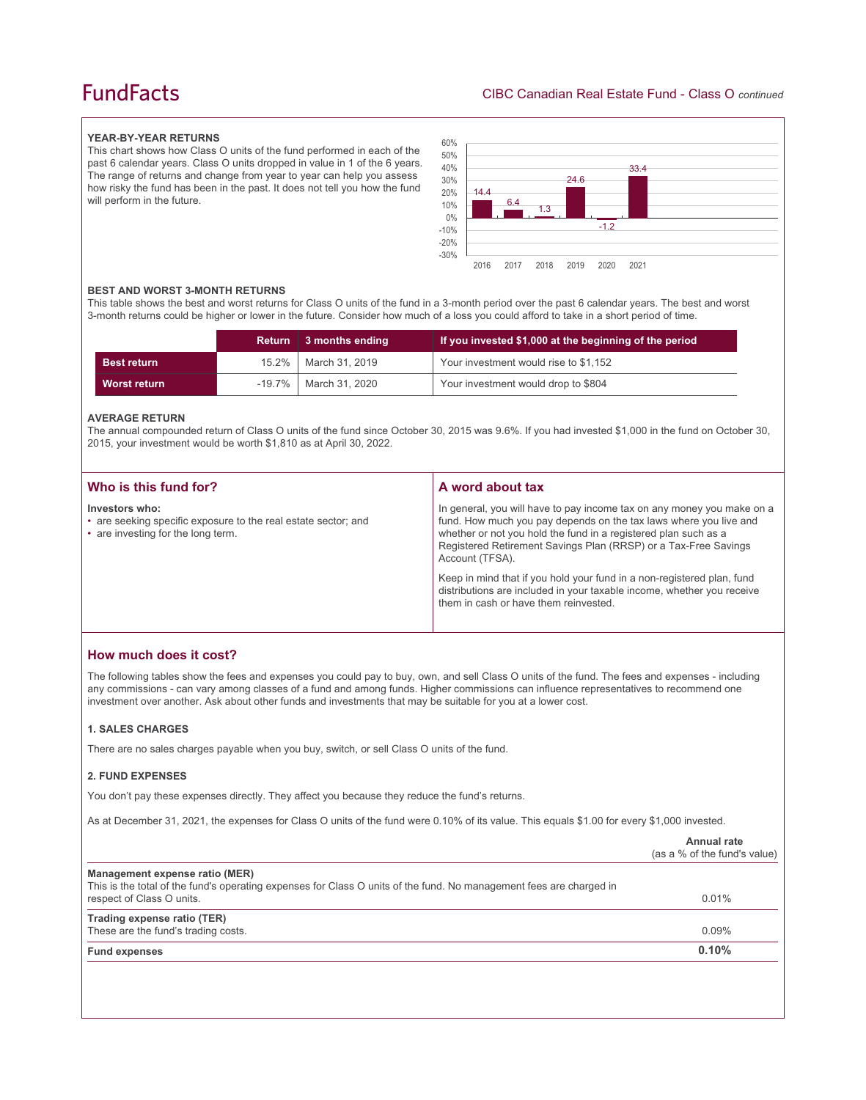# **FundFacts**

### **YEAR-BY-YEAR RETURNS**

This chart shows how Class O units of the fund performed in each of the past 6 calendar years. Class O units dropped in value in 1 of the 6 years. The range of returns and change from year to year can help you assess how risky the fund has been in the past. It does not tell you how the fund will perform in the future.



#### **BEST AND WORST 3-MONTH RETURNS**

This table shows the best and worst returns for Class O units of the fund in a 3-month period over the past 6 calendar years. The best and worst 3-month returns could be higher or lower in the future. Consider how much of a loss you could afford to take in a short period of time.

|                    | Return 3 months ending  | If you invested \$1,000 at the beginning of the period |
|--------------------|-------------------------|--------------------------------------------------------|
| <b>Best return</b> | 15.2%   March 31, 2019  | Your investment would rise to \$1,152                  |
| Worst return       | -19.7%   March 31, 2020 | Your investment would drop to \$804                    |

#### **AVERAGE RETURN**

The annual compounded return of Class O units of the fund since October 30, 2015 was 9.6%. If you had invested \$1,000 in the fund on October 30, 2015, your investment would be worth \$1,810 as at April 30, 2022.

| Who is this fund for?                                                                                                  | A word about tax                                                                                                                                                                                                                                                                                     |
|------------------------------------------------------------------------------------------------------------------------|------------------------------------------------------------------------------------------------------------------------------------------------------------------------------------------------------------------------------------------------------------------------------------------------------|
| Investors who:<br>• are seeking specific exposure to the real estate sector; and<br>• are investing for the long term. | In general, you will have to pay income tax on any money you make on a<br>fund. How much you pay depends on the tax laws where you live and<br>whether or not you hold the fund in a registered plan such as a<br>Registered Retirement Savings Plan (RRSP) or a Tax-Free Savings<br>Account (TFSA). |
|                                                                                                                        | Keep in mind that if you hold your fund in a non-registered plan, fund<br>distributions are included in your taxable income, whether you receive<br>them in cash or have them reinvested.                                                                                                            |

# **How much does it cost?**

The following tables show the fees and expenses you could pay to buy, own, and sell Class O units of the fund. The fees and expenses - including any commissions - can vary among classes of a fund and among funds. Higher commissions can influence representatives to recommend one investment over another. Ask about other funds and investments that may be suitable for you at a lower cost.

#### **1. SALES CHARGES**

There are no sales charges payable when you buy, switch, or sell Class O units of the fund.

#### **2. FUND EXPENSES**

You don't pay these expenses directly. They affect you because they reduce the fund's returns.

As at December 31, 2021, the expenses for Class O units of the fund were 0.10% of its value. This equals \$1.00 for every \$1,000 invested.

|                                                                                                                                                       | Annual rate<br>(as a % of the fund's value) |
|-------------------------------------------------------------------------------------------------------------------------------------------------------|---------------------------------------------|
| Management expense ratio (MER)<br>This is the total of the fund's operating expenses for Class O units of the fund. No management fees are charged in |                                             |
| respect of Class O units.                                                                                                                             | 0.01%                                       |
| Trading expense ratio (TER)                                                                                                                           |                                             |
| These are the fund's trading costs.                                                                                                                   | $0.09\%$                                    |
| <b>Fund expenses</b>                                                                                                                                  | 0.10%                                       |
|                                                                                                                                                       |                                             |